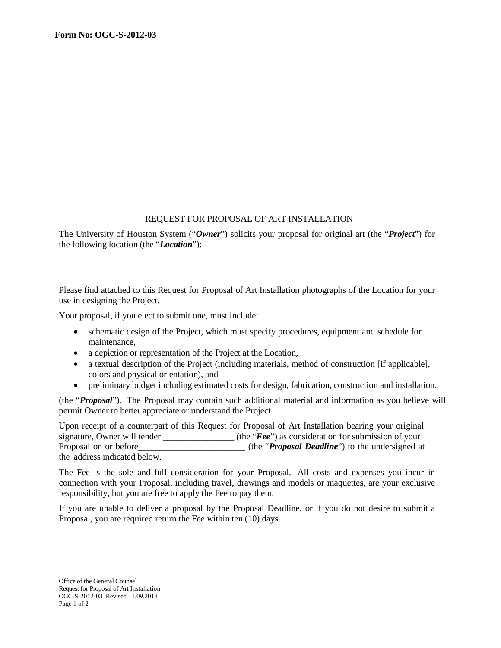## REQUEST FOR PROPOSAL OF ART INSTALLATION

The University of Houston System ("*Owner*") solicits your proposal for original art (the "*Project*") for the following location (the "*Location*"):

Please find attached to this Request for Proposal of Art Installation photographs of the Location for your use in designing the Project.

Your proposal, if you elect to submit one, must include:

- schematic design of the Project, which must specify procedures, equipment and schedule for maintenance,
- a depiction or representation of the Project at the Location,
- a textual description of the Project (including materials, method of construction [if applicable], colors and physical orientation), and
- preliminary budget including estimated costs for design, fabrication, construction and installation.

(the "*Proposal*"). The Proposal may contain such additional material and information as you believe will permit Owner to better appreciate or understand the Project.

Upon receipt of a counterpart of this Request for Proposal of Art Installation bearing your original signature, Owner will tender \_\_\_\_\_\_\_\_\_\_\_\_\_\_\_\_ (the "*Fee*") as consideration for submission of your Proposal on or before the "*Proposal Deadline*") to the undersigned at the address indicated below.

The Fee is the sole and full consideration for your Proposal. All costs and expenses you incur in connection with your Proposal, including travel, drawings and models or maquettes, are your exclusive responsibility, but you are free to apply the Fee to pay them.

If you are unable to deliver a proposal by the Proposal Deadline, or if you do not desire to submit a Proposal, you are required return the Fee within ten (10) days.